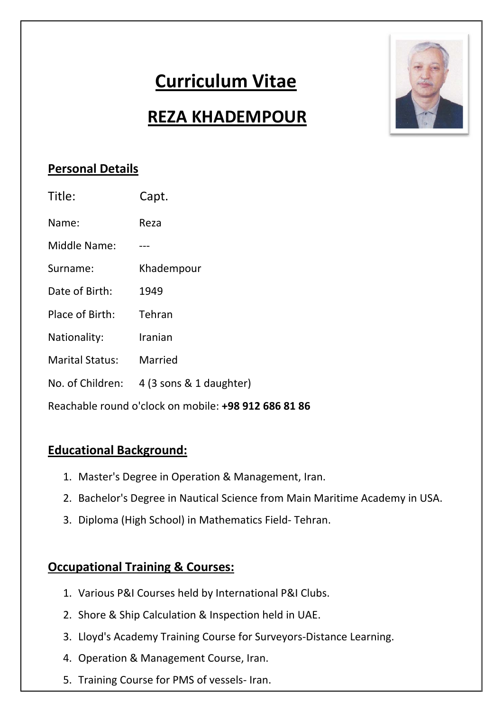# **Curriculum Vitae**



# **REZA KHADEMPOUR**

## **Personal Details**

| Title:                                               | Capt.                   |
|------------------------------------------------------|-------------------------|
| Name:                                                | Reza                    |
| Middle Name:                                         |                         |
| Surname:                                             | Khadempour              |
| Date of Birth:                                       | 1949                    |
| Place of Birth:                                      | Tehran                  |
| Nationality:                                         | Iranian                 |
| <b>Marital Status:</b>                               | Married                 |
| No. of Children:                                     | 4 (3 sons & 1 daughter) |
| Reachable round o'clock on mobile: +98 912 686 81 86 |                         |

#### **Educational Background:**

- 1. Master's Degree in Operation & Management, Iran.
- 2. Bachelor's Degree in Nautical Science from Main Maritime Academy in USA.
- 3. Diploma (High School) in Mathematics Field‐ Tehran.

# **Occupational Training & Courses:**

- 1. Various P&I Courses held by International P&I Clubs.
- 2. Shore & Ship Calculation & Inspection held in UAE.
- 3. Lloyd's Academy Training Course for Surveyors‐Distance Learning.
- 4. Operation & Management Course, Iran.
- 5. Training Course for PMS of vessels‐ Iran.